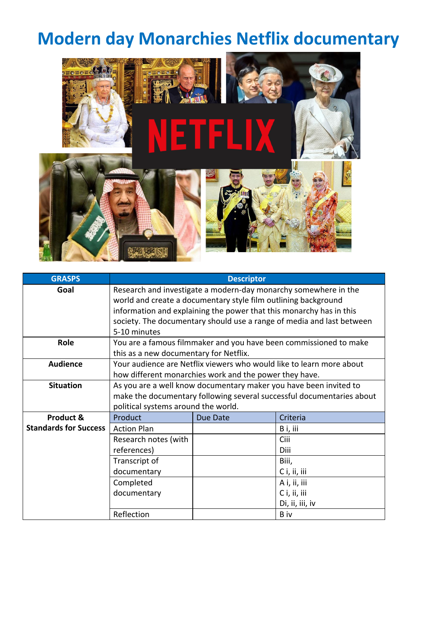# **Modern day Monarchies Netflix documentary**



| <b>GRASPS</b>                | <b>Descriptor</b>                                                                                                                                                                                                                                                                                 |          |                 |  |
|------------------------------|---------------------------------------------------------------------------------------------------------------------------------------------------------------------------------------------------------------------------------------------------------------------------------------------------|----------|-----------------|--|
| Goal                         | Research and investigate a modern-day monarchy somewhere in the<br>world and create a documentary style film outlining background<br>information and explaining the power that this monarchy has in this<br>society. The documentary should use a range of media and last between<br>5-10 minutes |          |                 |  |
| Role                         | You are a famous filmmaker and you have been commissioned to make<br>this as a new documentary for Netflix.                                                                                                                                                                                       |          |                 |  |
| <b>Audience</b>              | Your audience are Netflix viewers who would like to learn more about<br>how different monarchies work and the power they have.                                                                                                                                                                    |          |                 |  |
| <b>Situation</b>             | As you are a well know documentary maker you have been invited to<br>make the documentary following several successful documentaries about<br>political systems around the world.                                                                                                                 |          |                 |  |
| Product &                    | Product                                                                                                                                                                                                                                                                                           | Due Date | Criteria        |  |
| <b>Standards for Success</b> | <b>Action Plan</b>                                                                                                                                                                                                                                                                                |          | B i, iii        |  |
|                              | Research notes (with<br>references)                                                                                                                                                                                                                                                               |          | Ciii<br>Diii    |  |
|                              | Transcript of                                                                                                                                                                                                                                                                                     |          | Biii,           |  |
|                              | documentary                                                                                                                                                                                                                                                                                       |          | C i, ii, iii    |  |
|                              | Completed                                                                                                                                                                                                                                                                                         |          | A i, ii, iii    |  |
|                              | documentary                                                                                                                                                                                                                                                                                       |          | C i, ii, iii    |  |
|                              |                                                                                                                                                                                                                                                                                                   |          | Di, ii, iii, iv |  |
|                              | Reflection                                                                                                                                                                                                                                                                                        |          | B iv            |  |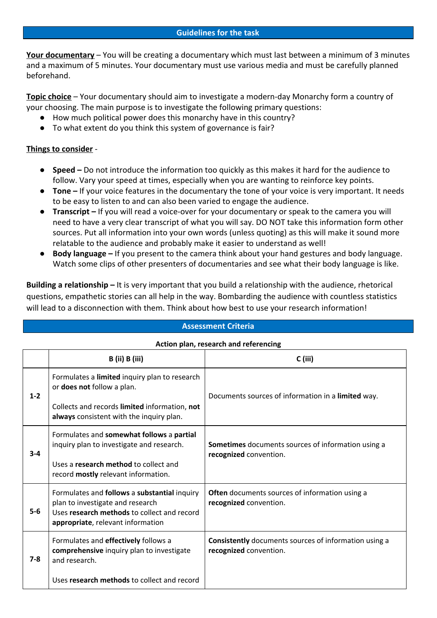### **Guidelines for the task**

**Your documentary** – You will be creating a documentary which must last between a minimum of 3 minutes and a maximum of 5 minutes. Your documentary must use various media and must be carefully planned beforehand.

**Topic choice** – Your documentary should aim to investigate a modern-day Monarchy form a country of your choosing. The main purpose is to investigate the following primary questions:

- How much political power does this monarchy have in this country?
- To what extent do you think this system of governance is fair?

## **Things to consider** -

- **● Speed** Do not introduce the information too quickly as this makes it hard for the audience to follow. Vary your speed at times, especially when you are wanting to reinforce key points.
- **● Tone** If your voice features in the documentary the tone of your voice is very important. It needs to be easy to listen to and can also been varied to engage the audience.
- **● Transcript –** If you will read a voice-over for your documentary or speak to the camera you will need to have a very clear transcript of what you will say. DO NOT take this information form other sources. Put all information into your own words (unless quoting) as this will make it sound more relatable to the audience and probably make it easier to understand as well!
- **● Body language** If you present to the camera think about your hand gestures and body language. Watch some clips of other presenters of documentaries and see what their body language is like.

**Building a relationship –** It is very important that you build a relationship with the audience, rhetorical questions, empathetic stories can all help in the way. Bombarding the audience with countless statistics will lead to a disconnection with them. Think about how best to use your research information!

#### **Assessment Criteria**

#### **Action plan, research and referencing**

|         | B (ii) B (iii)                                                                                                                                                       | $C$ (iii)                                                                              |  |
|---------|----------------------------------------------------------------------------------------------------------------------------------------------------------------------|----------------------------------------------------------------------------------------|--|
| $1 - 2$ | Formulates a limited inquiry plan to research<br>or does not follow a plan.                                                                                          | Documents sources of information in a limited way.                                     |  |
|         | Collects and records limited information, not<br>always consistent with the inquiry plan.                                                                            |                                                                                        |  |
| $3 - 4$ | Formulates and somewhat follows a partial<br>inquiry plan to investigate and research.                                                                               | <b>Sometimes</b> documents sources of information using a<br>recognized convention.    |  |
|         | Uses a research method to collect and<br>record <b>mostly</b> relevant information.                                                                                  |                                                                                        |  |
| $5-6$   | Formulates and follows a substantial inquiry<br>plan to investigate and research<br>Uses research methods to collect and record<br>appropriate, relevant information | <b>Often</b> documents sources of information using a<br>recognized convention.        |  |
| $7 - 8$ | Formulates and effectively follows a<br>comprehensive inquiry plan to investigate<br>and research.                                                                   | <b>Consistently</b> documents sources of information using a<br>recognized convention. |  |
|         | Uses research methods to collect and record                                                                                                                          |                                                                                        |  |